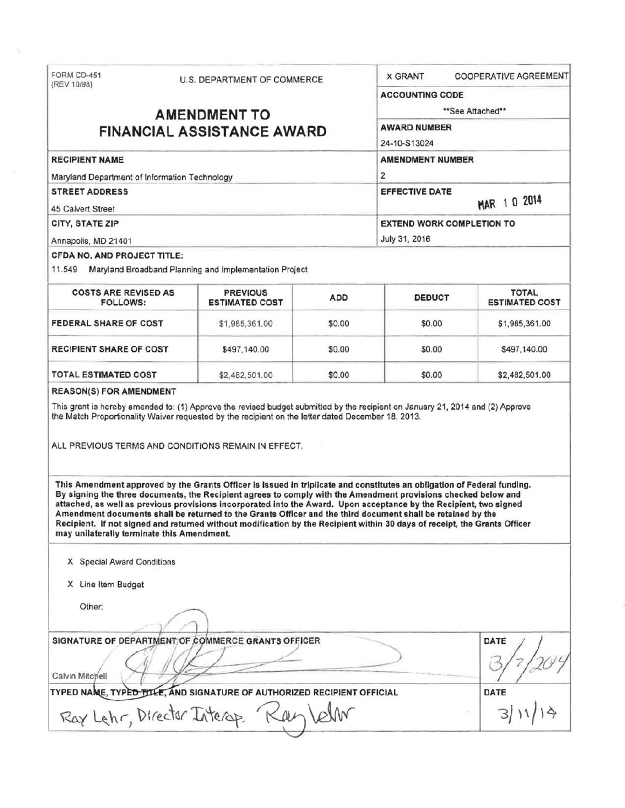| (REV 10/98)                                                                                                                             | U.S. DEPARTMENT OF COMMERCE                                                                                                                                                                                                                                                                                                                                    |                     | <b>X GRANT</b>                                                                                                         |  | <b>COOPERATIVE AGREEMENT</b> |                                                |                                                        |            |               |  |                                       |
|-----------------------------------------------------------------------------------------------------------------------------------------|----------------------------------------------------------------------------------------------------------------------------------------------------------------------------------------------------------------------------------------------------------------------------------------------------------------------------------------------------------------|---------------------|------------------------------------------------------------------------------------------------------------------------|--|------------------------------|------------------------------------------------|--------------------------------------------------------|------------|---------------|--|---------------------------------------|
|                                                                                                                                         |                                                                                                                                                                                                                                                                                                                                                                |                     | <b>ACCOUNTING CODE</b>                                                                                                 |  |                              |                                                |                                                        |            |               |  |                                       |
| <b>AMENDMENT TO</b>                                                                                                                     |                                                                                                                                                                                                                                                                                                                                                                |                     | **See Attached**                                                                                                       |  |                              |                                                |                                                        |            |               |  |                                       |
| <b>FINANCIAL ASSISTANCE AWARD</b>                                                                                                       |                                                                                                                                                                                                                                                                                                                                                                | <b>AWARD NUMBER</b> |                                                                                                                        |  |                              |                                                |                                                        |            |               |  |                                       |
|                                                                                                                                         |                                                                                                                                                                                                                                                                                                                                                                |                     | 24-10-S13024                                                                                                           |  |                              |                                                |                                                        |            |               |  |                                       |
| <b>RECIPIENT NAME</b><br>Maryland Department of Information Technology<br><b>STREET ADDRESS</b><br>45 Calvert Street<br>CITY, STATE ZIP |                                                                                                                                                                                                                                                                                                                                                                |                     | <b>AMENDMENT NUMBER</b><br>$\overline{2}$<br><b>EFFECTIVE DATE</b><br>MAR 1 0 2014<br><b>EXTEND WORK COMPLETION TO</b> |  |                              |                                                |                                                        |            |               |  |                                       |
|                                                                                                                                         |                                                                                                                                                                                                                                                                                                                                                                |                     |                                                                                                                        |  |                              | Annapolis, MD 21401                            |                                                        |            | July 31, 2016 |  |                                       |
|                                                                                                                                         |                                                                                                                                                                                                                                                                                                                                                                |                     |                                                                                                                        |  |                              | <b>CFDA NO. AND PROJECT TITLE:</b>             |                                                        |            |               |  |                                       |
|                                                                                                                                         |                                                                                                                                                                                                                                                                                                                                                                |                     |                                                                                                                        |  |                              | 11.549                                         | Maryland Broadband Planning and Implementation Project |            |               |  |                                       |
|                                                                                                                                         |                                                                                                                                                                                                                                                                                                                                                                |                     |                                                                                                                        |  |                              | <b>COSTS ARE REVISED AS</b><br><b>FOLLOWS:</b> | <b>PREVIOUS</b><br><b>ESTIMATED COST</b>               | <b>ADD</b> | <b>DEDUCT</b> |  | <b>TOTAL</b><br><b>ESTIMATED COST</b> |
| <b>FEDERAL SHARE OF COST</b>                                                                                                            | \$1,985,361.00                                                                                                                                                                                                                                                                                                                                                 | \$0.00              | \$0.00                                                                                                                 |  | \$1,985,361.00               |                                                |                                                        |            |               |  |                                       |
| <b>RECIPIENT SHARE OF COST</b>                                                                                                          | \$497,140.00                                                                                                                                                                                                                                                                                                                                                   | \$0.00              | \$0.00                                                                                                                 |  | \$497,140.00                 |                                                |                                                        |            |               |  |                                       |
|                                                                                                                                         |                                                                                                                                                                                                                                                                                                                                                                |                     |                                                                                                                        |  |                              |                                                |                                                        |            |               |  |                                       |
| TOTAL ESTIMATED COST<br><b>REASON(S) FOR AMENDMENT</b>                                                                                  | \$2,482,501.00<br>This grant is hereby amended to: (1) Approve the revised budget submitted by the recipient on January 21, 2014 and (2) Approve<br>the Match Proportionality Waiver requested by the recipient on the letter dated December 18, 2013.                                                                                                         | \$0.00              | \$0.00                                                                                                                 |  | \$2,482,501.00               |                                                |                                                        |            |               |  |                                       |
|                                                                                                                                         | ALL PREVIOUS TERMS AND CONDITIONS REMAIN IN EFFECT.<br>This Amendment approved by the Grants Officer is issued in triplicate and constitutes an obligation of Federal funding.<br>By signing the three documents, the Recipient agrees to comply with the Amendment provisions checked below and                                                               |                     |                                                                                                                        |  |                              |                                                |                                                        |            |               |  |                                       |
| may unilaterally terminate this Amendment.                                                                                              | attached, as well as previous provisions incorporated into the Award. Upon acceptance by the Recipient, two signed<br>Amendment documents shall be returned to the Grants Officer and the third document shall be retained by the<br>Recipient. If not signed and returned without modification by the Recipient within 30 days of receipt, the Grants Officer |                     |                                                                                                                        |  |                              |                                                |                                                        |            |               |  |                                       |
| X Special Award Conditions                                                                                                              |                                                                                                                                                                                                                                                                                                                                                                |                     |                                                                                                                        |  |                              |                                                |                                                        |            |               |  |                                       |
| X Line Item Budget                                                                                                                      |                                                                                                                                                                                                                                                                                                                                                                |                     |                                                                                                                        |  |                              |                                                |                                                        |            |               |  |                                       |
| Other:                                                                                                                                  |                                                                                                                                                                                                                                                                                                                                                                |                     |                                                                                                                        |  |                              |                                                |                                                        |            |               |  |                                       |
|                                                                                                                                         |                                                                                                                                                                                                                                                                                                                                                                |                     |                                                                                                                        |  |                              |                                                |                                                        |            |               |  |                                       |
|                                                                                                                                         | SIGNATURE OF DEPARTMENT OF COMMERCE GRANTS OFFICER                                                                                                                                                                                                                                                                                                             |                     |                                                                                                                        |  | DATE                         |                                                |                                                        |            |               |  |                                       |
| Calvin Mitchell                                                                                                                         | TYPED NAME, TYPE <del>D TITLE, A</del> ND SIGNATURE OF AUTHORIZED RECIPIENT OFFICIAL                                                                                                                                                                                                                                                                           |                     |                                                                                                                        |  | DATE                         |                                                |                                                        |            |               |  |                                       |